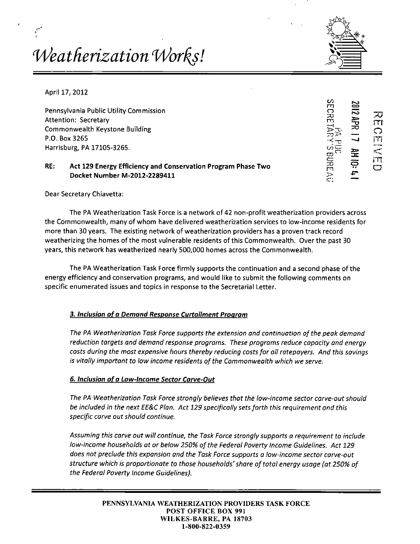# *M^eatherization Wor^s!*



April 17, 2012

Pennsylvania Public Utility Commission Attention: Secretary commission Commonwealth Keystone Building P.O. Box 3265 r^.  $\mathbb{Z}$   $\overline{\mathbb{Z}}$   $\overline{\mathbb{Z}}$  it is it is in  $\mathbb{Z}$  in  $\overline{\mathbb{Z}}$  it is it is in  $\mathbb{Z}$  in  $\overline{\mathbb{Z}}$  it is in  $\overline{\mathbb{Z}}$  in  $\overline{\mathbb{Z}}$  in  $\overline{\mathbb{Z}}$  is in  $\overline{\mathbb{Z}}$  if  $\overline{\mathbb{Z}}$  is in  $\$ Harrisburg, PA 17105-3265.  $\overline{\mathfrak{S}} = \begin{bmatrix} \overline{\mathfrak{S}} & \overline{\mathfrak{S}} \end{bmatrix}$ 

# **RE:** Act 129 Energy Efficiency and Conservation Program Phase Two Docket Number M-2012-2289411 >

m  $\bigcirc$  $\Xi$   $\Xi$   $\pi$ 

Dear Secretary Chiavetta:

The PA Weatherization Task Force is a network of 42 non-profit weatherization providers across the Commonwealth, many of whom have delivered weatherization services to low-income residents for more than 30 years. The existing network of weatherization providers has a proven track record weatherizing the homes of the most vulnerable residents of this Commonwealth. Over the past 30 years, this network has weatherized nearly 500,000 homes across the Commonwealth.

The PA Weatherization Task Force firmly supports the continuation and a second phase of the energy efficiency and conservation programs, and would like to submit the following comments on specific enumerated issues and topics in response to the Secretarial Letter.

# **3. Inclusion of a Demand Response Curtailment Program**

The PA Weatherization Task Force supports the extension and continuation of the peak demand reduction targets and demand response programs. These programs reduce capacity and energy costs during the most expensive hours thereby reducing costs for all ratepayers. And this savings is vitally important to low income residents of the Commonwealth which we serve.

# **6. Inclusion of a Low-Income Sector Carve-Out**

The PA Weatherization Task Force strongly believes that the low-income sector carve-out should be included in the next EE&C Plan. Act 129 specifically sets forth this requirement and this specific carve out should continue.

Assuming this carve out will continue, the Task Force strongly supports a requirement to include low-income households at or below 250% of the Federal Poverty Income Guidelines. Act 129 does not preclude this expansion and the Task Force supports a low-income sector carve-out structure which is proportionate to those households' share of total energy usage (at 250% of the Federal Poverty Income Guidelines).